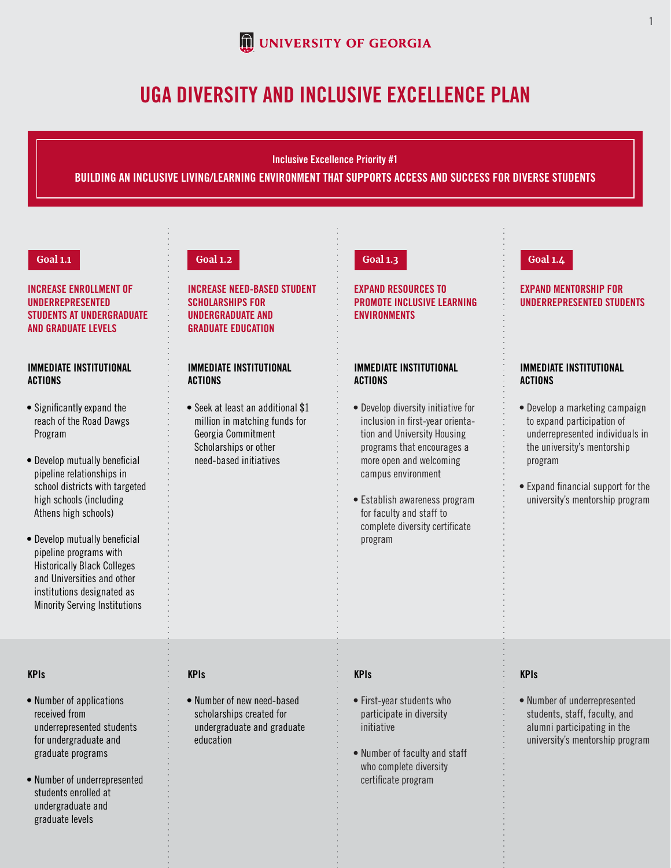

# UGA DIVERSITY AND INCLUSIVE EXCELLENCE PLAN

Inclusive Excellence Priority #1

#### BUILDING AN INCLUSIVE LIVING/LEARNING ENVIRONMENT THAT SUPPORTS ACCESS AND SUCCESS FOR DIVERSE STUDENTS

#### **Goal 1.1**

INCREASE ENROLLMENT OF UNDERREPRESENTED STUDENTS AT UNDERGRADUATE AND GRADUATE LEVELS

### IMMEDIATE INSTITUTIONAL ACTIONS

- Significantly expand the reach of the Road Dawgs Program
- $\bullet$  Develop mutually beneficial pipeline relationships in school districts with targeted high schools (including Athens high schools)
- $\bullet$  Develop mutually beneficial pipeline programs with Historically Black Colleges and Universities and other institutions designated as Minority Serving Institutions

#### KPIs

- Number of applications received from underrepresented students for undergraduate and graduate programs
- Number of underrepresented students enrolled at undergraduate and graduate levels

INCREASE NEED-BASED STUDENT SCHOLARSHIPS FOR UNDERGRADUATE AND GRADUATE EDUCATION

# IMMEDIATE INSTITUTIONAL ACTIONS

• Seek at least an additional \$1 million in matching funds for Georgia Commitment Scholarships or other need-based initiatives

KPIs

education

• Number of new need-based scholarships created for undergraduate and graduate

EXPAND RESOURCES TO PROMOTE INCLUSIVE LEARNING ENVIRONMENTS

#### IMMEDIATE INSTITUTIONAL ACTIONS

- Develop diversity initiative for inclusion in first-year orientation and University Housing programs that encourages a more open and welcoming campus environment
- Establish awareness program for faculty and staff to complete diversity certificate program

# **Goal 1.2 Goal 1.3 Goal 1.4**

#### EXPAND MENTORSHIP FOR UNDERREPRESENTED STUDENTS

# IMMEDIATE INSTITUTIONAL ACTIONS

- Develop a marketing campaign to expand participation of underrepresented individuals in the university's mentorship program
- Expand financial support for the university's mentorship program

#### KPIs

- First-year students who participate in diversity initiative
- Number of faculty and staff who complete diversity certificate program

# KPIs

• Number of underrepresented students, staff, faculty, and alumni participating in the university's mentorship program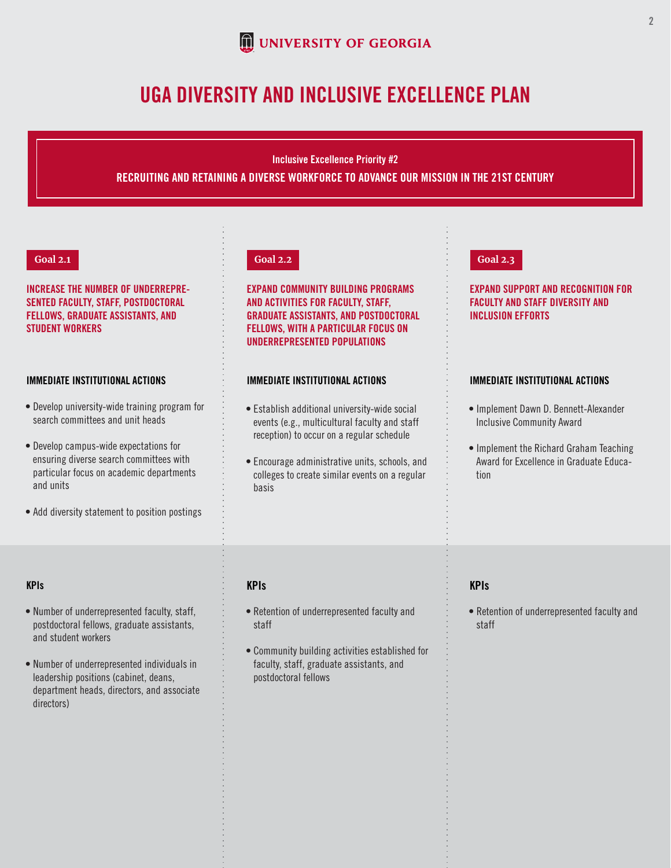

# UGA DIVERSITY AND INCLUSIVE EXCELLENCE PLAN

# RECRUITING AND RETAINING A DIVERSE WORKFORCE TO ADVANCE OUR MISSION IN THE 21ST CENTURY Inclusive Excellence Priority #2

#### **Goal 2.1**

# INCREASE THE NUMBER OF UNDERREPRE-SENTED FACULTY, STAFF, POSTDOCTORAL FELLOWS, GRADUATE ASSISTANTS, AND STUDENT WORKERS

#### IMMEDIATE INSTITUTIONAL ACTIONS

- Develop university-wide training program for search committees and unit heads
- Develop campus-wide expectations for ensuring diverse search committees with particular focus on academic departments and units
- Add diversity statement to position postings

### KPIs

- Number of underrepresented faculty, staff, postdoctoral fellows, graduate assistants, and student workers
- Number of underrepresented individuals in leadership positions (cabinet, deans, department heads, directors, and associate directors)

### **Goal 2.2**

EXPAND COMMUNITY BUILDING PROGRAMS AND ACTIVITIES FOR FACULTY, STAFF, GRADUATE ASSISTANTS, AND POSTDOCTORAL FELLOWS, WITH A PARTICULAR FOCUS ON UNDERREPRESENTED POPULATIONS

### IMMEDIATE INSTITUTIONAL ACTIONS

- Establish additional university-wide social events (e.g., multicultural faculty and staff reception) to occur on a regular schedule
- Encourage administrative units, schools, and colleges to create similar events on a regular basis

#### **Goal 2.3**

# EXPAND SUPPORT AND RECOGNITION FOR FACULTY AND STAFF DIVERSITY AND INCLUSION EFFORTS

#### IMMEDIATE INSTITUTIONAL ACTIONS

- Implement Dawn D. Bennett-Alexander Inclusive Community Award
- Implement the Richard Graham Teaching Award for Excellence in Graduate Education

# KPIs

- Retention of underrepresented faculty and staff
- Community building activities established for faculty, staff, graduate assistants, and postdoctoral fellows

# KPIs

• Retention of underrepresented faculty and staff